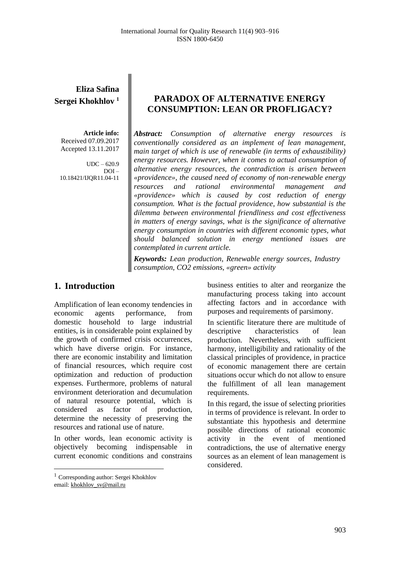**Eliza Safina Sergei Khokhlov <sup>1</sup>**

**Article info:** Received 07.09.2017 Accepted 13.11.2017

 $IDC = 620.9$ DOI – 10.18421/IJQR11.04-11

#### **PARADOX OF ALTERNATIVE ENERGY CONSUMPTION: LEAN OR PROFLIGACY?**

*Abstract: Consumption of alternative energy resources is conventionally considered as an implement of lean management, main target of which is use of renewable (in terms of exhaustibility) energy resources. However, when it comes to actual consumption of alternative energy resources, the contradiction is arisen between «providence», the caused need of economy of non-renewable energy resources and rational environmental management and «providence» which is caused by cost reduction of energy consumption. What is the factual providence, how substantial is the dilemma between environmental friendliness and cost effectiveness in matters of energy savings, what is the significance of alternative energy consumption in countries with different economic types, what should balanced solution in energy mentioned issues are contemplated in current article.*

*Keywords: Lean production, Renewable energy sources, Industry consumption, CO2 emissions, «green» activity*

### 1. **Introduction**

Amplification of lean economy tendencies in economic agents performance, from domestic household to large industrial entities, is in considerable point explained by the growth of confirmed crisis occurrences, which have diverse origin. For instance, there are economic instability and limitation of financial resources, which require cost optimization and reduction of production expenses. Furthermore, problems of natural environment deterioration and decumulation of natural resource potential, which is considered as factor of production, determine the necessity of preserving the resources and rational use of nature.

In other words, lean economic activity is objectively becoming indispensable in current economic conditions and constrains business entities to alter and reorganize the manufacturing process taking into account affecting factors and in accordance with purposes and requirements of parsimony.

In scientific literature there are multitude of descriptive characteristics of lean production. Nevertheless, with sufficient harmony, intelligibility and rationality of the classical principles of providence, in practice of economic management there are certain situations occur which do not allow to ensure the fulfillment of all lean management requirements.

In this regard, the issue of selecting priorities in terms of providence is relevant. In order to substantiate this hypothesis and determine possible directions of rational economic activity in the event of mentioned contradictions, the use of alternative energy sources as an element of lean management is considered.

 $\overline{\phantom{a}}$ 

<sup>1</sup> Corresponding author: Sergei Khokhlov email: khokhlov\_sv@mail.ru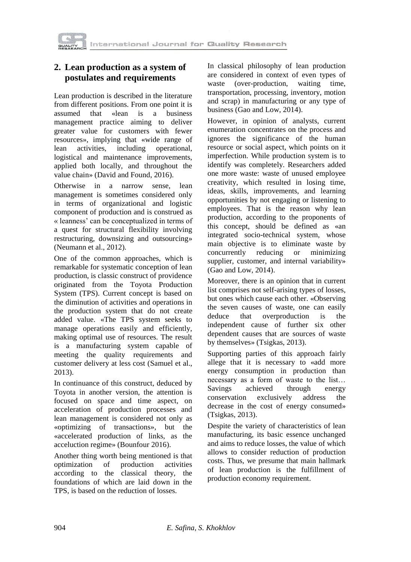

#### **2. Lean production as a system of postulates and requirements**

Lean production is described in the literature from different positions. From one point it is assumed that «lean is a business management practice aiming to deliver greater value for customers with fewer resources», implying that «wide range of lean activities, including operational, logistical and maintenance improvements, applied both locally, and throughout the value chain» (David and Found, 2016).

Otherwise in a narrow sense, lean management is sometimes considered only in terms of organizational and logistic component of production and is construed as « leanness' can be conceptualized in terms of a quest for structural flexibility involving restructuring, downsizing and outsourcing» (Neumann et al., 2012).

One of the common approaches, which is remarkable for systematic conception of lean production, is classic construct of providence originated from the Toyota Production System (TPS). Current concept is based on the diminution of activities and operations in the production system that do not create added value. «The TPS system seeks to manage operations easily and efficiently, making optimal use of resources. The result is a manufacturing system capable of meeting the quality requirements and customer delivery at less cost (Samuel et al., 2013).

In continuance of this construct, deduced by Toyota in another version, the attention is focused on space and time aspect, on acceleration of production processes and lean management is considered not only as «optimizing of transactions», but the «accelerated production of links, as the acceluction regime» (Bounfour 2016).

Another thing worth being mentioned is that optimization of production activities according to the classical theory, the foundations of which are laid down in the TPS, is based on the reduction of losses.

In classical philosophy of lean production are considered in context of even types of waste (over-production, waiting time, transportation, processing, inventory, motion and scrap) in manufacturing or any type of business (Gao and Low, 2014).

However, in opinion of analysts, current enumeration concentrates on the process and ignores the significance of the human resource or social aspect, which points on it imperfection. While production system is to identify was completely. Researchers added one more waste: waste of unused employee creativity, which resulted in losing time, ideas, skills, improvements, and learning opportunities by not engaging or listening to employees. That is the reason why lean production, according to the proponents of this concept, should be defined as «an integrated socio-technical system, whose main objective is to eliminate waste by concurrently reducing or minimizing supplier, customer, and internal variability» (Gao and Low, 2014).

Moreover, there is an opinion that in current list comprises not self-arising types of losses, but ones which cause each other. «Observing the seven causes of waste, one can easily deduce that overproduction is the independent cause of further six other dependent causes that are sources of waste by themselves» (Tsigkas, 2013).

Supporting parties of this approach fairly allege that it is necessary to «add more energy consumption in production than necessary as a form of waste to the list… Savings achieved through energy conservation exclusively address the decrease in the cost of energy consumed» (Tsigkas, 2013).

Despite the variety of characteristics of lean manufacturing, its basic essence unchanged and aims to reduce losses, the value of which allows to consider reduction of production costs. Thus, we presume that main hallmark of lean production is the fulfillment of production economy requirement.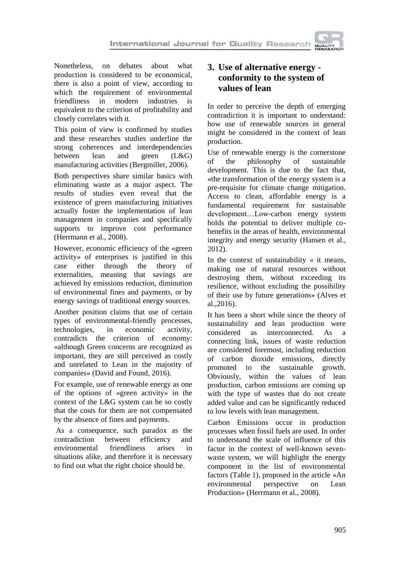

Nonetheless, on debates about what production is considered to be economical, there is also a point of view, according to which the requirement of environmental friendliness in modern industries is equivalent to the criterion of profitability and closely correlates with it.

This point of view is confirmed by studies and these researches studies underline the strong coherences and interdependencies between lean and green (L&G) manufacturing activities (Bergmiller, 2006).

Both perspectives share similar basics with eliminating waste as a major aspect. The results of studies even reveal that the existence of green manufacturing initiatives actually foster the implementation of lean management in companies and specifically supports to improve cost performance (Herrmann et al., 2008).

However, economic efficiency of the «green activity» of enterprises is justified in this case either through the theory of externalities, meaning that savings are achieved by emissions reduction, diminution of environmental fines and payments, or by energy savings of traditional energy sources.

Another position claims that use of certain types of environmental-friendly processes, technologies, in economic activity, contradicts the criterion of economy: «although Green concerns are recognized as important, they are still perceived as costly and unrelated to Lean in the majority of companies» (David and Found, 2016).

For example, use of renewable energy as one of the options of «green activity» in the context of the L&G system can be so costly that the costs for them are not compensated by the absence of fines and payments.

As a consequence, such paradox as the contradiction between efficiency and environmental friendliness arises in situations alike, and therefore it is necessary to find out what the right choice should be.

# **3. Use of alternative energy conformity to the system of values of lean**

In order to perceive the depth of emerging contradiction it is important to understand: how use of renewable sources in general might be considered in the context of lean production.

Use of renewable energy is the cornerstone of the philosophy of sustainable development. This is due to the fact that, «the transformation of the energy system is a pre-requisite for climate change mitigation. Access to clean, affordable energy is a fundamental requirement for sustainable development…Low-carbon energy system holds the potential to deliver multiple cobenefits in the areas of health, environmental integrity and energy security (Hansen et al., 2012).

In the context of sustainability  $\alpha$  it means, making use of natural resources without destroying them, without exceeding its resilience, without excluding the possibility of their use by future generations» (Alves et al.,2016).

It has been a short while since the theory of sustainability and lean production were considered as interconnected. As a connecting link, issues of waste reduction are considered foremost, including reduction of carbon dioxide emissions, directly promoted to the sustainable growth. Obviously, within the values of lean production, carbon emissions are coming up with the type of wastes that do not create added value and can be significantly reduced to low levels with lean management.

Carbon Emissions occur in production processes when fossil fuels are used. In order to understand the scale of influence of this factor in the context of well-known sevenwaste system, we will highlight the energy component in the list of environmental factors (Table 1), proposed in the article «An environmental perspective on Lean Production» (Herrmann et al., 2008).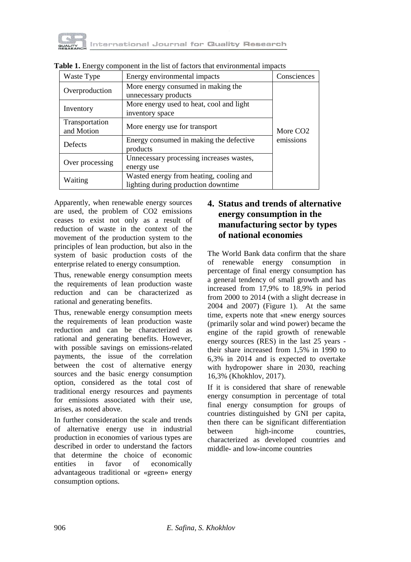

| Waste Type                   | Energy environmental impacts                                                   | Consciences          |  |  |  |  |
|------------------------------|--------------------------------------------------------------------------------|----------------------|--|--|--|--|
| Overproduction               | More energy consumed in making the<br>unnecessary products                     |                      |  |  |  |  |
| Inventory                    | More energy used to heat, cool and light<br>inventory space                    |                      |  |  |  |  |
| Transportation<br>and Motion | More energy use for transport                                                  | More CO <sub>2</sub> |  |  |  |  |
| Defects                      | Energy consumed in making the defective<br>products                            | emissions            |  |  |  |  |
| Over processing              | Unnecessary processing increases wastes,<br>energy use                         |                      |  |  |  |  |
| Waiting                      | Wasted energy from heating, cooling and<br>lighting during production downtime |                      |  |  |  |  |

**Table 1.** Energy component in the list of factors that environmental impacts

Apparently, when renewable energy sources are used, the problem of CO2 emissions ceases to exist not only as a result of reduction of waste in the context of the movement of the production system to the principles of lean production, but also in the system of basic production costs of the enterprise related to energy consumption.

Thus, renewable energy consumption meets the requirements of lean production waste reduction and can be characterized as rational and generating benefits.

Thus, renewable energy consumption meets the requirements of lean production waste reduction and can be characterized as rational and generating benefits. However, with possible savings on emissions-related payments, the issue of the correlation between the cost of alternative energy sources and the basic energy consumption option, considered as the total cost of traditional energy resources and payments for emissions associated with their use, arises, as noted above.

In further consideration the scale and trends of alternative energy use in industrial production in economies of various types are described in order to understand the factors that determine the choice of economic entities in favor of economically advantageous traditional or «green» energy consumption options.

# **4. Status and trends of alternative energy consumption in the manufacturing sector by types of national economies**

The World Bank data confirm that the share of renewable energy consumption in percentage of final energy consumption has a general tendency of small growth and has increased from 17,9% to 18,9% in period from 2000 to 2014 (with a slight decrease in 2004 and 2007) (Figure 1). At the same time, experts note that «new energy sources (primarily solar and wind power) became the engine of the rapid growth of renewable energy sources (RES) in the last 25 years their share increased from 1,5% in 1990 to 6,3% in 2014 and is expected to overtake with hydropower share in 2030, reaching 16,3% (Khokhlov, 2017).

If it is considered that share of renewable energy consumption in percentage of total final energy consumption for groups of countries distinguished by GNI per capita, then there can be significant differentiation between high-income countries, characterized as developed countries and middle- and low-income countries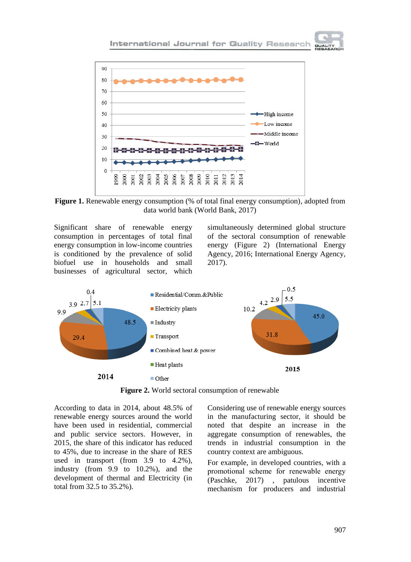

**Figure 1.** Renewable energy consumption (% of total final energy consumption), adopted from data world bank (World Bank, 2017)

Significant share of renewable energy consumption in percentages of total final energy consumption in low-income countries is conditioned by the prevalence of solid biofuel use in households and small businesses of agricultural sector, which

simultaneously determined global structure of the sectoral consumption of renewable energy (Figure 2) (International Energy Agency, 2016; International Energy Agency, 2017).



**Figure 2.** World sectoral consumption of renewable

According to data in 2014, about 48.5% of renewable energy sources around the world have been used in residential, commercial and public service sectors. However, in 2015, the share of this indicator has reduced to 45%, due to increase in the share of RES used in transport (from 3.9 to 4.2%), industry (from 9.9 to 10.2%), and the development of thermal and Electricity (in total from 32.5 to 35.2%).

Considering use of renewable energy sources in the manufacturing sector, it should be noted that despite an increase in the aggregate consumption of renewables, the trends in industrial consumption in the country context are ambiguous.

For example, in developed countries, with а рromotional scheme for renewable energy (Paschke, 2017) , patulous incentive mechanism for producers and industrial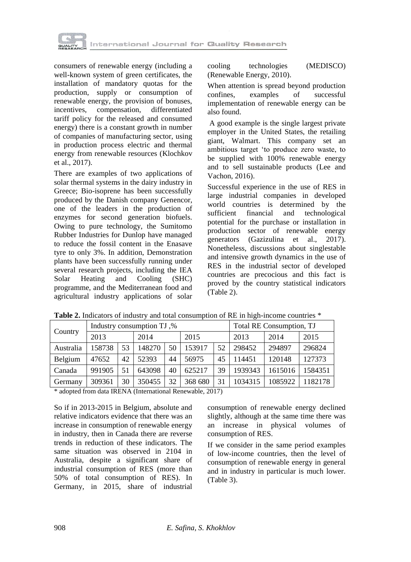

consumers of renewable energy (including a well-known system of green certificates, the installation of mandatory quotas for the production, supply or consumption of renewable energy, the provision of bonuses, incentives, compensation, differentiated tariff policy for the released and consumed energy) there is a constant growth in number of companies of manufacturing sector, using in production process electric and thermal energy from renewable resources (Klochkov et al., 2017).

There are examples of two applications of solar thermal systems in the dairy industry in Greece; Bio-isoprene has been successfully produced by the Danish company Genencor, one of the leaders in the production of enzymes for second generation biofuels. Owing to pure technology, the Sumitomo Rubber Industries for Dunlop have managed to reduce the fossil content in the Enasave tyre to only 3%. In addition, Demonstration plants have been successfully running under several research projects, including the IEA Solar Heating and Cooling (SHC) programme, and the Mediterranean food and agricultural industry applications of solar cooling technologies (MEDISCO) (Renewable Energy, 2010).

When attention is spread beyond production confines, examples of successful implementation of renewable energy can be also found.

A good example is the single largest private employer in the United States, the retailing giant, Walmart. This company set an ambitious target 'to produce zero waste, to be supplied with 100% renewable energy and to sell sustainable products (Lee and Vachon, 2016).

Successful experience in the use of RES in large industrial companies in developed world countries is determined by the sufficient financial and technological potential for the purchase or installation in production sector of renewable energy generators (Gazizulina et al., 2017). Nonetheless, discussions about singlestable and intensive growth dynamics in the use of RES in the industrial sector of developed countries are precocious and this fact is proved by the country statistical indicators (Table 2).

| Country   |        |    | Industry consumption TJ,% |    | Total RE Consumption, TJ |    |         |         |         |
|-----------|--------|----|---------------------------|----|--------------------------|----|---------|---------|---------|
|           | 2013   |    | 2014                      |    | 2015                     |    | 2013    | 2014    | 2015    |
| Australia | 158738 | 53 | 148270                    | 50 | 153917                   | 52 | 298452  | 294897  | 296824  |
| Belgium   | 47652  | 42 | 52393                     | 44 | 56975                    | 45 | 114451  | 120148  | 127373  |
| Canada    | 991905 | 51 | 643098                    | 40 | 625217                   | 39 | 1939343 | 1615016 | 1584351 |
| Germany   | 309361 | 30 | 350455                    | 32 | 368 680                  | 31 | 1034315 | 1085922 | 1182178 |

**Table 2.** Indicators of industry and total consumption of RE in high-income countries \*

\* adopted from data IRENA (International Renewable, 2017)

So if in 2013-2015 in Belgium, absolute and relative indicators evidence that there was an increase in consumption of renewable energy in industry, then in Canada there are reverse trends in reduction of these indicators. The same situation was observed in 2104 in Australia, despite a significant share of industrial consumption of RES (more than 50% of total consumption of RES). In Germany, in 2015, share of industrial consumption of renewable energy declined slightly, although at the same time there was an increase in physical volumes of consumption of RES.

If we consider in the same period examples of low-income countries, then the level of consumption of renewable energy in general and in industry in particular is much lower. (Table 3).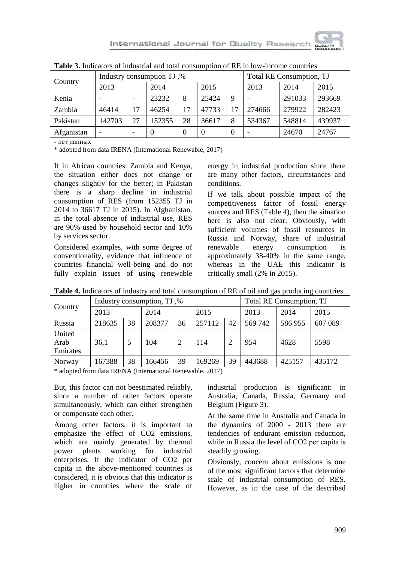

| Country    |        |    | Industry consumption TJ,% | Total RE Consumption, TJ |       |    |        |        |        |
|------------|--------|----|---------------------------|--------------------------|-------|----|--------|--------|--------|
|            | 2013   |    | 2014                      |                          | 2015  |    | 2013   | 2014   | 2015   |
| Kenia      |        |    | 23232                     | 8                        | 25424 | 9  |        | 291033 | 293669 |
| Zambia     | 46414  | 17 | 46254                     | 17                       | 47733 | 17 | 274666 | 279922 | 282423 |
| Pakistan   | 142703 | 27 | 152355                    | 28                       | 36617 | 8  | 534367 | 548814 | 439937 |
| Afganistan | -      | -  | $\cup$                    | 0                        | 0     | 0  |        | 24670  | 24767  |

**Table 3.** Indicators of industrial and total consumption of RE in low-income countries

- нет данных

\* adopted from data IRENA (International Renewable, 2017)

If in African countries: Zambia and Kenya, the situation either does not change or changes slightly for the better; in Pakistan there is a sharp decline in industrial consumption of RES (from 152355 TJ in 2014 to 36617 TJ in 2015). In Afghanistan, in the total absence of industrial use, RES are 90% used by household sector and 10% by services sector.

Considered examples, with some degree of conventionality, evidence that influence of countries financial well-being and do not fully explain issues of using renewable

energy in industrial production since there are many other factors, circumstances and conditions.

If we talk about possible impact of the competitiveness factor of fossil energy sources and RES (Table 4), then the situation here is also not clear. Obviously, with sufficient volumes of fossil resources in Russia and Norway, share of industrial renewable energy consumption is approximately 38-40% in the same range, whereas in the UAE this indicator is critically small (2% in 2015).

| Country                    |        |    | Industry consumption, TJ,% | Total RE Consumption, TJ |        |    |         |        |         |
|----------------------------|--------|----|----------------------------|--------------------------|--------|----|---------|--------|---------|
|                            | 2013   |    | 2014                       |                          | 2015   |    | 2013    | 2014   | 2015    |
| Russia                     | 218635 | 38 | 208377                     | 36                       | 257112 | 42 | 569 742 | 586955 | 607 089 |
| United<br>Arab<br>Emirates | 36.1   |    | 104                        | 2                        | 114    |    | 954     | 4628   | 5598    |
| Norway                     | 167388 | 38 | 166456                     | 39                       | 169269 | 39 | 443688  | 425157 | 435172  |

**Table 4.** Indicators of industry and total consumption of RE of oil and gas producing countries

\* adopted from data IRENA (International Renewable, 2017)

But, this factor can not beestimated reliably, since a number of other factors operate simultaneously, which can either strengthen or compensate each other.

Among other factors, it is important to emphasize the effect of CO2 emissions, which are mainly generated by thermal power plants working for industrial enterprises. If the indicator of CO2 per capita in the above-mentioned countries is considered, it is obvious that this indicator is higher in countries where the scale of industrial production is significant: in Australia, Canada, Russia, Germany and Belgium (Figure 3).

At the same time in Australia and Canada in the dynamics of 2000 - 2013 there are tendencies of endurant emission reduction, while in Russia the level of СО2 per capita is steadily growing.

Obviously, concern about emissions is one of the most significant factors that determine scale of industrial consumption of RES. However, as in the case of the described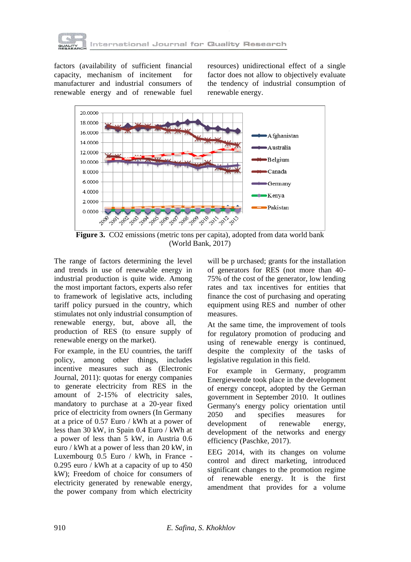

factors (availability of sufficient financial capacity, mechanism of incitement for manufacturer and industrial consumers of renewable energy and of renewable fuel

resources) unidirectional effect of a single factor does not allow to objectively evaluate the tendency of industrial consumption of renewable energy.



**Figure 3.** CO2 emissions (metric tons per capita), adopted from data world bank (World Bank, 2017)

The range of factors determining the level and trends in use of renewable energy in industrial production is quite wide. Among the most important factors, experts also refer to framework of legislative acts, including tariff policy pursued in the country, which stimulates not only industrial consumption of renewable energy, but, above all, the production of RES (to ensure supply of renewable energy on the market).

For example, in the EU countries, the tariff policy, among other things, includes incentive measures such as (Electronic Journal, 2011): quotas for energy companies to generate electricity from RES in the amount of 2-15% of electricity sales, mandatory to purchase at a 20-year fixed price of electricity from owners (In Germany at a price of 0.57 Euro / kWh at a power of less than 30 kW, in Spain 0.4 Euro / kWh at a power of less than 5 kW, in Austria 0.6 euro / kWh at a power of less than 20 kW, in Luxembourg 0.5 Euro / kWh, in France - 0.295 euro / kWh at a capacity of up to 450 kW); Freedom of choice for consumers of electricity generated by renewable energy, the power company from which electricity

will be p urchased; grants for the installation of generators for RES (not more than 40- 75% of the cost of the generator, low lending rates and tax incentives for entities that finance the cost of purchasing and operating equipment using RES and number of other measures.

At the same time, the improvement of tools for regulatory promotion of producing and using of renewable energy is continued, despite the complexity of the tasks of legislative regulation in this field.

For example in Germany, programm Energiewende took place in the development of energy concept, adopted by the German government in September 2010. It outlines Germany's energy policy orientation until 2050 and specifies measures for development of renewable energy, development of the networks and energy efficiency (Paschke, 2017).

EEG 2014, with its changes on volume control and direct marketing, introduced significant changes to the promotion regime of renewable energy. It is the first amendment that provides for a volume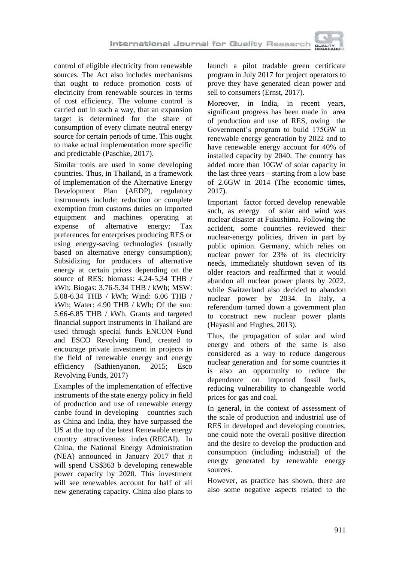

control of eligible electricity from renewable sources. The Act also includes mechanisms that ought to reduce promotion costs of electricity from renewable sources in terms of cost efficiency. The volume control is carried out in such a way, that an expansion target is determined for the share of consumption of every climate neutral energy source for certain periods of time. This ought to make actual implementation more specific and predictable (Paschke, 2017).

Similar tools are used in some developing countries. Thus, in Thailand, in a framework of implementation of the Alternative Energy Development Plan (AEDP), regulatory instruments include: reduction or complete exemption from customs duties on imported equipment and machines operating at expense of alternative energy; Tax preferences for enterprises producing RES or using energy-saving technologies (usually based on alternative energy consumption); Subsidizing for producers of alternative energy at certain prices depending on the source of RES: biomass: 4,24-5,34 THB / kWh; Biogas: 3.76-5.34 THB / kWh; MSW: 5.08-6.34 THB / kWh; Wind: 6.06 THB / kWh; Water: 4.90 THB / kWh; Of the sun: 5.66-6.85 THB / kWh. Grants and targeted financial support instruments in Thailand are used through special funds ENCON Fund and ESCO Revolving Fund, created to encourage private investment in projects in the field of renewable energy and energy efficiency (Sathienyanon, 2015; Esco Revolving Funds, 2017)

Examples of the implementation of effective instruments of the state energy policy in field of production and use of renewable energy canbe found in developing countries such as China and India, they have surpassed the US at the top of the latest Renewable energy country attractiveness index (RECAI). In China, the National Energy Administration (NEA) announced in January 2017 that it will spend US\$363 b developing renewable power capacity by 2020. This investment will see renewables account for half of all new generating capacity. China also plans to

launch a pilot tradable green certificate program in July 2017 for project operators to prove they have generated clean power and sell to consumers (Ernst, 2017).

Moreover, in India, in recent years, significant progress has been made in area of production and use of RES, owing the Government's program to build 175GW in renewable energy generation by 2022 and to have renewable energy account for 40% of installed capacity by 2040. The country has added more than 10GW of solar capacity in the last three years – starting from a low base of 2.6GW in 2014 (The economic times, 2017).

Important factor forced develop renewable such, as energy of solar and wind was nuclear disaster at Fukushima. Following the accident, some countries reviewed their nuclear-energy policies, driven in part by public opinion. Germany, which relies on nuclear power for 23% of its electricity needs, immediately shutdown seven of its older reactors and reaffirmed that it would abandon all nuclear power plants by 2022, while Switzerland also decided to abandon nuclear power by 2034. In Italy, a referendum turned down a government plan to construct new nuclear power plants (Hayashi and Hughes, 2013).

Thus, the propagation of solar and wind energy and others of the same is also considered as a way to reduce dangerous nuclear generation and for some countries it is also an opportunity to reduce the dependence on imported fossil fuels, reducing vulnerability to changeable world prices for gas and coal.

In general, in the context of assessment of the scale of production and industrial use of RES in developed and developing countries, one could note the overall positive direction and the desire to develop the production and consumption (including industrial) of the energy generated by renewable energy sources.

However, as practice has shown, there are also some negative aspects related to the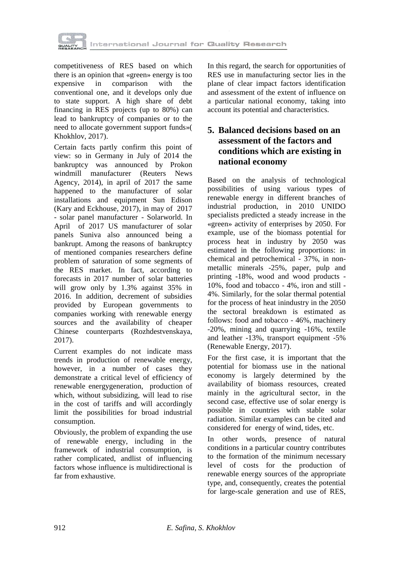

competitiveness of RES based on which there is an opinion that «green» energy is too expensive in comparison with the conventional one, and it develops only due to state support. A high share of debt financing in RES projects (up to 80%) can lead to bankruptcy of companies or to the need to allocate government support funds»( Khokhlov, 2017).

Certain facts partly confirm this point of view: so in Germany in July of 2014 the bankruptcy was announced by Prokon windmill manufacturer [\(Reuters News](file:///F:/Reuters%20News%20Agency)  [Agency,](file:///F:/Reuters%20News%20Agency) 2014), in april of 2017 the same happened to the manufacturer of solar installations and equipment Sun Edison (Kary and Eckhouse, 2017), in may of 2017 - solar panel manufacturer - Solarworld. In April of 2017 US manufacturer of solar panels Suniva also announced being a bankrupt. Among the reasons of bankruptcy of mentioned companies researchers define problem of saturation of some segments of the RES market. In fact, according to forecasts in 2017 number of solar batteries will grow only by 1.3% against 35% in 2016. In addition, decrement of subsidies provided by European governments to companies working with renewable energy sources and the availability of cheaper Chinese counterparts (Rozhdestvenskaya, 2017).

Current examples do not indicate mass trends in production of renewable energy, however, in a number of cases they demonstrate a critical level of efficiency of renewable energygeneration, production of which, without subsidizing, will lead to rise in the cost of tariffs and will accordingly limit the possibilities for broad industrial consumption.

Obviously, the problem of expanding the use of renewable energy, including in the framework of industrial consumption, is rather complicated, andlist of influencing factors whose influence is multidirectional is far from exhaustive.

In this regard, the search for opportunities of RES use in manufacturing sector lies in the plane of clear impact factors identification and assessment of the extent of influence on a particular national economy, taking into account its potential and characteristics.

# **5. Balanced decisions based on an assessment of the factors and conditions which are existing in national economy**

Based on the analysis of technological possibilities of using various types of renewable energy in different branches of industrial production, in 2010 UNIDO specialists predicted a steady increase in the «green» activity of enterprises by 2050. For example, use of the biomass potential for process heat in industry by 2050 was estimated in the following proportions: in chemical and petrochemical - 37%, in nonmetallic minerals -25%, paper, pulp and printing -18%, wood and wood products - 10%, food and tobacco - 4%, iron and still - 4%. Similarly, for the solar thermal potential for the process of heat inindustry in the 2050 the sectoral breakdown is estimated as follows: food and tobacco - 46%, machinery -20%, mining and quarrying -16%, textile and leather -13%, transport equipment -5% (Renewable Energy, 2017).

For the first case, it is important that the potential for biomass use in the national economy is largely determined by the availability of biomass resources, created mainly in the agricultural sector, in the second case, effective use of solar energy is possible in countries with stable solar radiation. Similar examples can be cited and considered for energy of wind, tides, etc.

In other words, presence of natural conditions in a particular country contributes to the formation of the minimum necessary level of costs for the production of renewable energy sources of the appropriate type, and, consequently, creates the potential for large-scale generation and use of RES,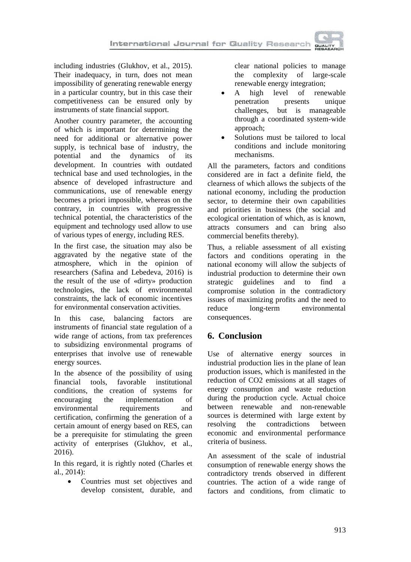including industries (Glukhov, et al., 2015). Their inadequacy, in turn, does not mean impossibility of generating renewable energy in a particular country, but in this case their competitiveness can be ensured only by instruments of state financial support.

Another country parameter, the accounting of which is important for determining the need for additional or alternative power supply, is technical base of industry, the potential and the dynamics of its development. In countries with outdated technical base and used technologies, in the absence of developed infrastructure and communications, use of renewable energy becomes a priori impossible, whereas on the contrary, in countries with progressive technical potential, the characteristics of the equipment and technology used allow to use of various types of energy, including RES.

In the first case, the situation may also be aggravated by the negative state of the atmosphere, which in the opinion of researchers (Safina and Lebedeva, 2016) is the result of the use of «dirty» production technologies, the lack of environmental constraints, the lack of economic incentives for environmental conservation activities.

In this case, balancing factors are instruments of financial state regulation of a wide range of actions, from tax preferences to subsidizing environmental programs of enterprises that involve use of renewable energy sources.

In the absence of the possibility of using financial tools, favorable institutional conditions, the creation of systems for encouraging the implementation of environmental requirements and certification, confirming the generation of a certain amount of energy based on RES, can be a prerequisite for stimulating the green activity of enterprises (Glukhov, et al., 2016).

In this regard, it is rightly noted (Charles et al., 2014):

• Countries must set objectives and develop consistent, durable, and clear national policies to manage the complexity of large-scale renewable energy integration;

- A high level of renewable penetration presents unique challenges, but is manageable through a coordinated system-wide approach;
- Solutions must be tailored to local conditions and include monitoring mechanisms.

All the parameters, factors and conditions considered are in fact a definite field, the clearness of which allows the subjects of the national economy, including the production sector, to determine their own capabilities and priorities in business (the social and ecological orientation of which, as is known, attracts consumers and can bring also commercial benefits thereby).

Thus, a reliable assessment of all existing factors and conditions operating in the national economy will allow the subjects of industrial production to determine their own strategic guidelines and to find a compromise solution in the contradictory issues of maximizing profits and the need to reduce long-term environmental consequences.

# **6. Conclusion**

Use of alternative energy sources in industrial production lies in the plane of lean production issues, which is manifested in the reduction of CO2 emissions at all stages of energy consumption and waste reduction during the production cycle. Actual choice between renewable and non-renewable sources is determined with large extent by resolving the contradictions between economic and environmental performance criteria of business.

An assessment of the scale of industrial consumption of renewable energy shows the contradictory trends observed in different countries. The action of a wide range of factors and conditions, from climatic to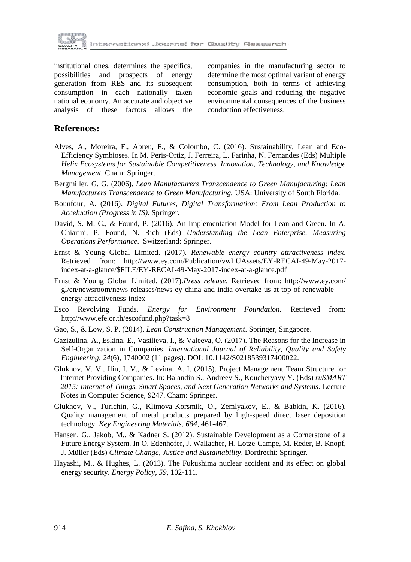

institutional ones, determines the specifics, possibilities and prospects of energy generation from RES and its subsequent consumption in each nationally taken national economy. An accurate and objective analysis of these factors allows the companies in the manufacturing sector to determine the most optimal variant of energy consumption, both in terms of achieving economic goals and reducing the negative environmental consequences of the business conduction effectiveness.

#### **References:**

- Alves, A., Moreira, F., Abreu, F., & Colombo, C. (2016). Sustainability, Lean and Eco-Efficiency Symbioses. In M. Peris-Ortiz, J. Ferreira, L. Farinha, N. Fernandes (Eds) Multiple *Helix Ecosystems for Sustainable Competitiveness. Innovation, Technology, and Knowledge Management.* Cham: Springer.
- Bergmiller, G. G. (2006). *Lean Manufacturers Transcendence to Green Manufacturing: Lean Manufacturers Transcendence to Green Manufacturing.* USA: University of South Florida.
- Bounfour, A. (2016). *Digital Futures, Digital Transformation: From Lean Production to Acceluction (Progress in IS)*. Springer.
- David, S. M. C., & Found, P. (2016). An Implementation Model for Lean and Green. In A. Chiarini, P. Found, N. Rich (Eds) *Understanding the Lean Enterprise. Measuring Operations Performance*. Switzerland: Springer.
- Ernst & Young Global Limited. (2017)*. Renewable energy country attractiveness index.* Retrieved from: http://www.ey.com/Publication/vwLUAssets/EY-RECAI-49-May-2017 index-at-a-glance/\$FILE/EY-RECAI-49-May-2017-index-at-a-glance.pdf
- Ernst & Young Global Limited. (2017).*Press release*. Retrieved from: http://www.ey.com/ gl/en/newsroom/news-releases/news-ey-china-and-india-overtake-us-at-top-of-renewableenergy-attractiveness-index
- Esco Revolving Funds. *Energy for Environment Foundation.* Retrieved from: http://www.efe.or.th/escofund.php?task=8
- Gao, S., & Low, S. P. (2014). *Lean Construction Management*. Springer, Singapore.
- Gazizulina, A., Eskina, E., Vasilieva, I., & Valeeva, O. (2017). The Reasons for the Increase in Self-Organization in Companies. *International Journal of Reliability, Quality and Safety Engineering*, *24*(6), 1740002 (11 pages). DOI: 10.1142/S0218539317400022.
- Glukhov, V. V., Ilin, I. V., & Levina, A. I. (2015). Project Management Team Structure for Internet Providing Companies. In: Balandin S., Andreev S., Koucheryavy Y. (Eds) *ruSMART 2015: Internet of Things, Smart Spaces, and Next Generation Networks and Systems*. Lecture Notes in Computer Science, 9247. Cham: Springer.
- Glukhov, V., Turichin, G., Klimova-Korsmik, O., Zemlyakov, E., & Babkin, K. (2016). Quality management of metal products prepared by high-speed direct laser deposition technology. *Key Engineering Materials*, *684*, 461-467.
- Hansen, G., Jakob, M., & Kadner S. (2012). Sustainable Development as a Cornerstone of a Future Energy System. In O. Edenhofer, J. Wallacher, H. Lotze-Campe, M. Reder, B. Knopf, J. Müller (Eds) *Climate Change, Justice and Sustainability*. Dordrecht: Springer.
- Hayashi, M., & Hughes, L. (2013). The Fukushima nuclear accident and its effect on global energy security. *Energy Policy*, *59*, 102-111.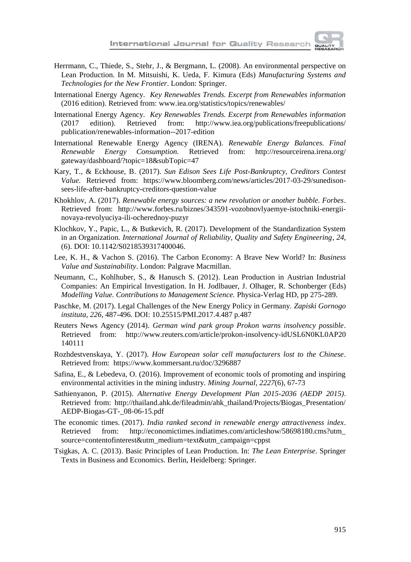

- Herrmann, C., Thiede, S., Stehr, J., & Bergmann, L. (2008). An environmental perspective on Lean Production. In M. Mitsuishi, K. Ueda, F. Kimura (Eds) *Manufacturing Systems and Technologies for the New Frontier*. London: Springer.
- International Energy Agency. *Key Renewables Trends. Excerpt from Renewables information* (2016 edition). Retrieved from: www.iea.org/statistics/topics/renewables/
- International Energy Agency. *Key Renewables Trends. Excerpt from Renewables information* (2017 edition). Retrieved from: http://www.iea.org/publications/freepublications/ publication/renewables-information--2017-edition
- International Renewable Energy Agency (IRENA). *Renewable Energy Balances. Final Renewable Energy Consumption.* Retrieved from: http://resourceirena.irena.org/ gateway/dashboard/?topic=18&subTopic=47
- Kary, T., & Eckhouse, B. (2017). *Sun Edison Sees Life Post-Bankruptcy, Creditors Contest Value.* Retrieved from: https://www.bloomberg.com/news/articles/2017-03-29/sunedisonsees-life-after-bankruptcy-creditors-question-value
- Khokhlov, A. (2017). *Renewable energy sources: a new revolution or another bubble. Forbes*. Retrieved from: http://www.forbes.ru/biznes/343591-vozobnovlyaemye-istochniki-energiinovaya-revolyuciya-ili-ocherednoy-puzyr
- Klochkov, Y., Papic, L., & Butkevich, R. (2017). Development of the Standardization System in an Organization. *International Journal of Reliability, Quality and Safety Engineering*, *24*, (6). DOI: 10.1142/S0218539317400046.
- Lee, K. H., & Vachon S. (2016). The Carbon Economy: A Brave New World? In: *Business Value and Sustainability*. London: Palgrave Macmillan.
- Neumann, C., Kohlhuber, S., & Hanusch S. (2012). Lean Production in Austrian Industrial Companies: An Empirical Investigation. In H. Jodlbauer, J. Olhager, R. Schonberger (Eds) *Modelling Value. Contributions to Management Science.* Physica-Verlag HD, pp 275-289.
- Paschke, M. (2017). Legal Challenges of the New Energy Policy in Germany. *Zapiski Gornogo instituta*, *226*, 487-496. DOI: 10.25515/PMI.2017.4.487 p.487
- Reuters News Agency (2014). *German wind park group Prokon warns insolvency possible*. Retrieved from: http://www.reuters.com/article/prokon-insolvency-idUSL6N0KL0AP20 140111
- Rozhdestvenskaya, Y. (2017). *How European solar cell manufacturers lost to the Chinese*. Retrieved from: https://www.kommersant.ru/doc/3296887
- Safina, E., & Lebedeva, O. (2016). Improvement of economic tools of promoting and inspiring environmental activities in the mining industry. *Mining Journal*, *2227*(6), 67-73
- Sathienyanon, P. (2015). *Alternative Energy Development Plan 2015-2036 (AEDP 2015)*. Retrieved from: http://thailand.ahk.de/fileadmin/ahk\_thailand/Projects/Biogas\_Presentation/ AEDP-Biogas-GT-\_08-06-15.pdf
- The economic times. (2017). *India ranked second in renewable energy attractiveness index*. Retrieved from: http://economictimes.indiatimes.com/articleshow/58698180.cms?utm\_ source=contentofinterest&utm\_medium=text&utm\_campaign=cppst
- Tsigkas, A. C. (2013). Basic Principles of Lean Production. In: *The Lean Enterprise*. Springer Texts in Business and Economics. Berlin, Heidelberg: Springer.